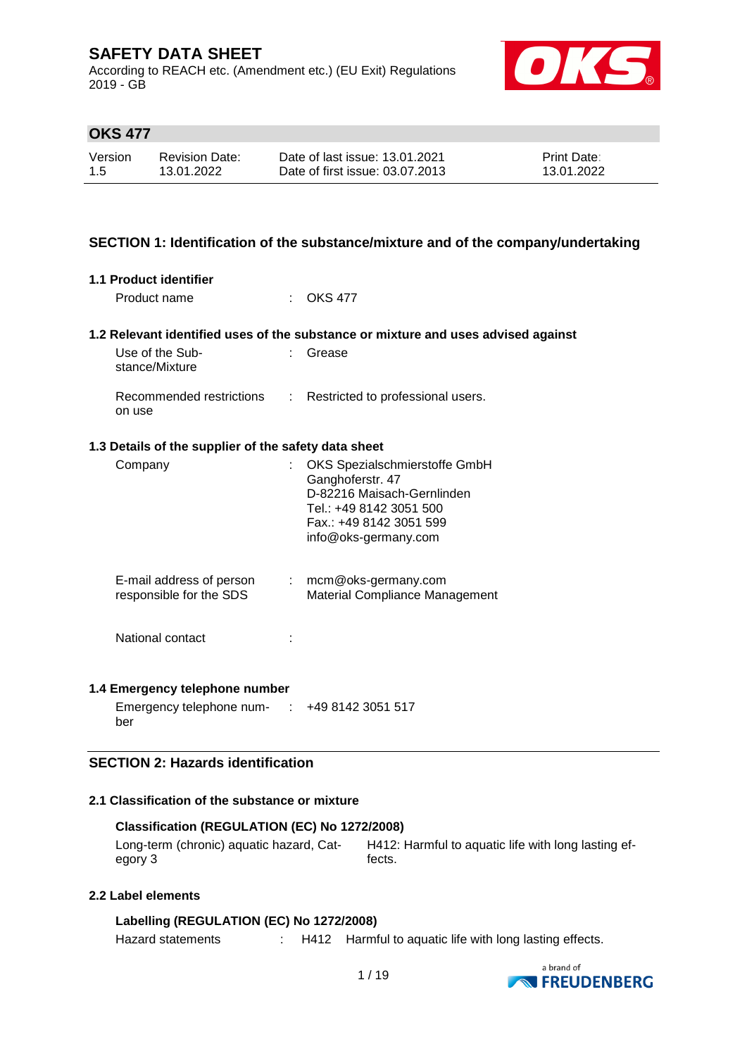According to REACH etc. (Amendment etc.) (EU Exit) Regulations 2019 - GB



### **OKS 477**

| Version | <b>Revision Date:</b> | Date of last issue: 13.01.2021  | <b>Print Date:</b> |
|---------|-----------------------|---------------------------------|--------------------|
| 1.5     | 13.01.2022            | Date of first issue: 03.07.2013 | 13.01.2022         |

### **SECTION 1: Identification of the substance/mixture and of the company/undertaking**

#### **1.1 Product identifier**

Product name : OKS 477

#### **1.2 Relevant identified uses of the substance or mixture and uses advised against**

| Use of the Sub-<br>stance/Mixture  | : Grease                            |
|------------------------------------|-------------------------------------|
| Recommended restrictions<br>on use | : Restricted to professional users. |

#### **1.3 Details of the supplier of the safety data sheet**

| Company                                             |     | OKS Spezialschmierstoffe GmbH<br>Ganghoferstr. 47<br>D-82216 Maisach-Gernlinden<br>Tel.: +49 8142 3051 500<br>Fax.: +49 8142 3051 599<br>info@oks-germany.com |
|-----------------------------------------------------|-----|---------------------------------------------------------------------------------------------------------------------------------------------------------------|
| E-mail address of person<br>responsible for the SDS | t i | mcm@oks-germany.com<br>Material Compliance Management                                                                                                         |
| National contact                                    |     |                                                                                                                                                               |

#### **1.4 Emergency telephone number**

Emergency telephone num-: +49 8142 3051 517 ber

### **SECTION 2: Hazards identification**

#### **2.1 Classification of the substance or mixture**

| Classification (REGULATION (EC) No 1272/2008) |                                                     |  |  |
|-----------------------------------------------|-----------------------------------------------------|--|--|
| Long-term (chronic) aquatic hazard, Cat-      | H412: Harmful to aquatic life with long lasting ef- |  |  |
| egory 3                                       | fects.                                              |  |  |

#### **2.2 Label elements**

### **Labelling (REGULATION (EC) No 1272/2008)**

Hazard statements : H412 Harmful to aquatic life with long lasting effects.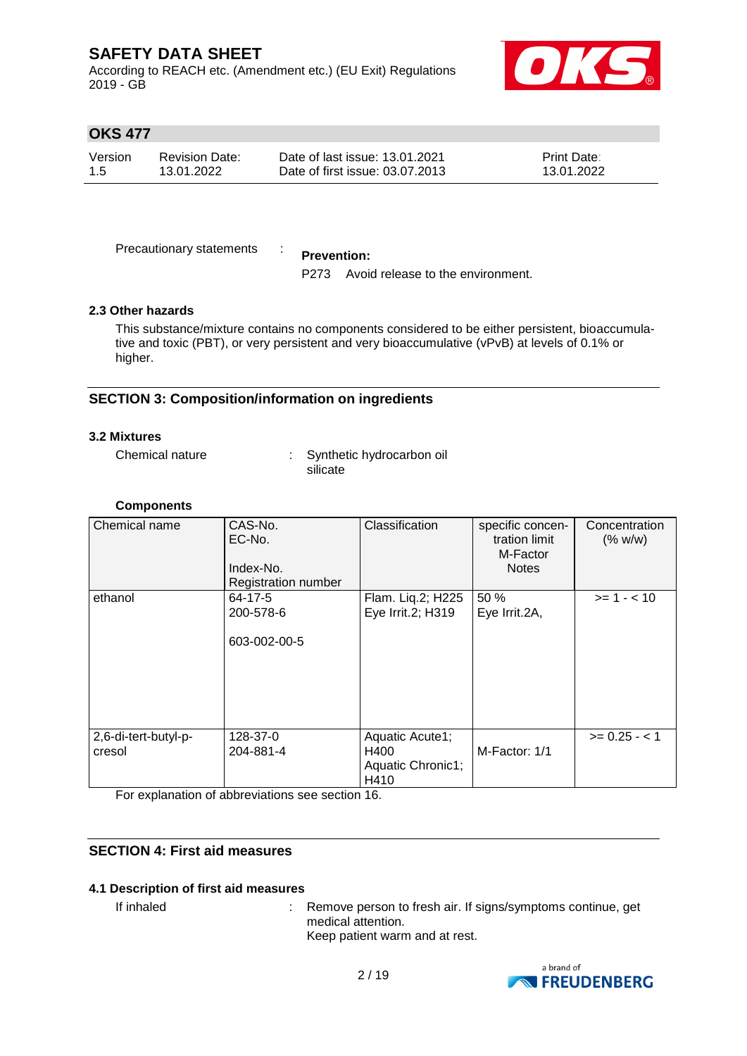According to REACH etc. (Amendment etc.) (EU Exit) Regulations 2019 - GB



### **OKS 477**

| Version | Revision Date: | Date of last issue: 13.01.2021  | <b>Print Date:</b> |
|---------|----------------|---------------------------------|--------------------|
| 1.5     | 13.01.2022     | Date of first issue: 03.07.2013 | 13.01.2022         |

Precautionary statements :

#### **Prevention:**

P273 Avoid release to the environment.

#### **2.3 Other hazards**

This substance/mixture contains no components considered to be either persistent, bioaccumulative and toxic (PBT), or very persistent and very bioaccumulative (vPvB) at levels of 0.1% or higher.

### **SECTION 3: Composition/information on ingredients**

#### **3.2 Mixtures**

Chemical nature : Synthetic hydrocarbon oil silicate

#### **Components**

| Chemical name                  | CAS-No.<br>EC-No.<br>Index-No.<br><b>Registration number</b> | Classification                                       | specific concen-<br>tration limit<br>M-Factor<br><b>Notes</b> | Concentration<br>(% w/w) |
|--------------------------------|--------------------------------------------------------------|------------------------------------------------------|---------------------------------------------------------------|--------------------------|
| ethanol                        | 64-17-5<br>200-578-6<br>603-002-00-5                         | Flam. Liq.2; H225<br>Eye Irrit.2; H319               | 50 %<br>Eye Irrit.2A,                                         | $>= 1 - < 10$            |
| 2,6-di-tert-butyl-p-<br>cresol | 128-37-0<br>204-881-4                                        | Aquatic Acute1;<br>H400<br>Aquatic Chronic1;<br>H410 | M-Factor: 1/1                                                 | $>= 0.25 - 1$            |

For explanation of abbreviations see section 16.

### **SECTION 4: First aid measures**

#### **4.1 Description of first aid measures**

If inhaled : Remove person to fresh air. If signs/symptoms continue, get medical attention. Keep patient warm and at rest.

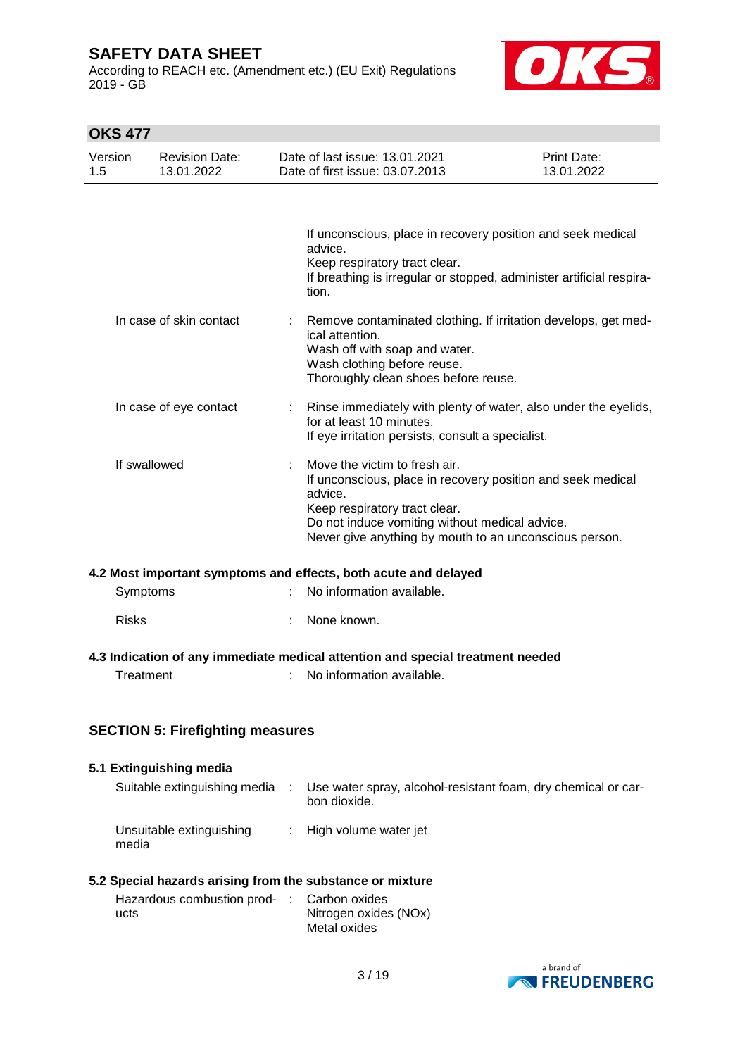According to REACH etc. (Amendment etc.) (EU Exit) Regulations 2019 - GB



# **OKS 477**

| Version<br>1.5 | <b>Revision Date:</b><br>13.01.2022     | Date of last issue: 13.01.2021<br>Date of first issue: 03.07.2013                                                                                                                                                                                          | <b>Print Date:</b><br>13.01.2022                                     |
|----------------|-----------------------------------------|------------------------------------------------------------------------------------------------------------------------------------------------------------------------------------------------------------------------------------------------------------|----------------------------------------------------------------------|
|                |                                         |                                                                                                                                                                                                                                                            |                                                                      |
|                |                                         | If unconscious, place in recovery position and seek medical<br>advice.<br>Keep respiratory tract clear.<br>tion.                                                                                                                                           | If breathing is irregular or stopped, administer artificial respira- |
|                | In case of skin contact                 | ical attention.<br>Wash off with soap and water.<br>Wash clothing before reuse.<br>Thoroughly clean shoes before reuse.                                                                                                                                    | Remove contaminated clothing. If irritation develops, get med-       |
|                | In case of eye contact                  | for at least 10 minutes.<br>If eye irritation persists, consult a specialist.                                                                                                                                                                              | Rinse immediately with plenty of water, also under the eyelids,      |
|                | If swallowed                            | Move the victim to fresh air.<br>٠.<br>If unconscious, place in recovery position and seek medical<br>advice.<br>Keep respiratory tract clear.<br>Do not induce vomiting without medical advice.<br>Never give anything by mouth to an unconscious person. |                                                                      |
|                |                                         | 4.2 Most important symptoms and effects, both acute and delayed                                                                                                                                                                                            |                                                                      |
|                | Symptoms                                | No information available.                                                                                                                                                                                                                                  |                                                                      |
| <b>Risks</b>   |                                         | None known.                                                                                                                                                                                                                                                |                                                                      |
|                |                                         | 4.3 Indication of any immediate medical attention and special treatment needed                                                                                                                                                                             |                                                                      |
|                | Treatment                               | No information available.                                                                                                                                                                                                                                  |                                                                      |
|                | <b>SECTION 5: Firefighting measures</b> |                                                                                                                                                                                                                                                            |                                                                      |

### **5.1 Extinguishing media**

| Suitable extinguishing media      | Use water spray, alcohol-resistant foam, dry chemical or car-<br>bon dioxide. |
|-----------------------------------|-------------------------------------------------------------------------------|
| Unsuitable extinguishing<br>media | : High volume water jet                                                       |

### **5.2 Special hazards arising from the substance or mixture**

| Hazardous combustion prod- : Carbon oxides |                       |
|--------------------------------------------|-----------------------|
| ucts                                       | Nitrogen oxides (NOx) |
|                                            | Metal oxides          |

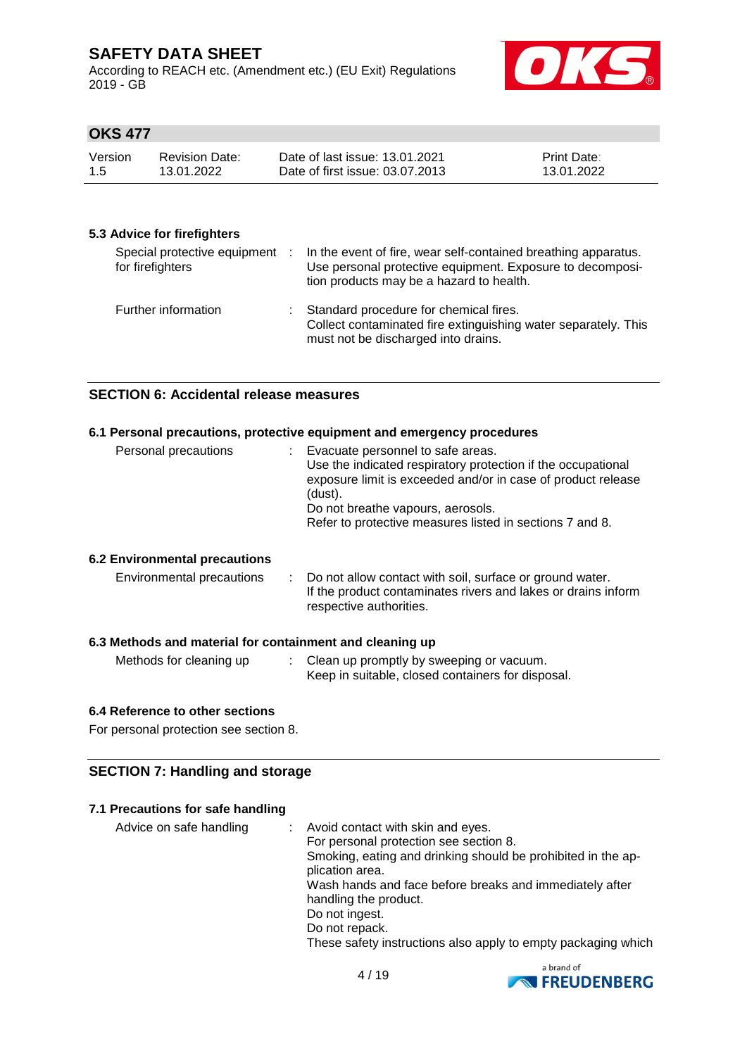According to REACH etc. (Amendment etc.) (EU Exit) Regulations 2019 - GB



### **OKS 477**

| Version | <b>Revision Date:</b> | Date of last issue: 13.01.2021  | <b>Print Date:</b> |
|---------|-----------------------|---------------------------------|--------------------|
| -1.5    | 13.01.2022            | Date of first issue: 03.07.2013 | 13.01.2022         |

#### **5.3 Advice for firefighters**

| Special protective equipment<br>for firefighters | ÷ | In the event of fire, wear self-contained breathing apparatus.<br>Use personal protective equipment. Exposure to decomposi-<br>tion products may be a hazard to health. |
|--------------------------------------------------|---|-------------------------------------------------------------------------------------------------------------------------------------------------------------------------|
| Further information                              |   | : Standard procedure for chemical fires.<br>Collect contaminated fire extinguishing water separately. This<br>must not be discharged into drains.                       |

#### **SECTION 6: Accidental release measures**

#### **6.1 Personal precautions, protective equipment and emergency procedures**

| Personal precautions | Evacuate personnel to safe areas.<br>Use the indicated respiratory protection if the occupational<br>exposure limit is exceeded and/or in case of product release<br>(dust).<br>Do not breathe vapours, aerosols.<br>Refer to protective measures listed in sections 7 and 8. |
|----------------------|-------------------------------------------------------------------------------------------------------------------------------------------------------------------------------------------------------------------------------------------------------------------------------|
|                      |                                                                                                                                                                                                                                                                               |

#### **6.2 Environmental precautions**

| Environmental precautions |  | : Do not allow contact with soil, surface or ground water.<br>If the product contaminates rivers and lakes or drains inform<br>respective authorities. |
|---------------------------|--|--------------------------------------------------------------------------------------------------------------------------------------------------------|
|---------------------------|--|--------------------------------------------------------------------------------------------------------------------------------------------------------|

#### **6.3 Methods and material for containment and cleaning up**

| Methods for cleaning up | : Clean up promptly by sweeping or vacuum.        |
|-------------------------|---------------------------------------------------|
|                         | Keep in suitable, closed containers for disposal. |

### **6.4 Reference to other sections**

For personal protection see section 8.

#### **SECTION 7: Handling and storage**

#### **7.1 Precautions for safe handling**

| Advice on safe handling | : Avoid contact with skin and eyes.                           |
|-------------------------|---------------------------------------------------------------|
|                         | For personal protection see section 8.                        |
|                         | Smoking, eating and drinking should be prohibited in the ap-  |
|                         | plication area.                                               |
|                         | Wash hands and face before breaks and immediately after       |
|                         | handling the product.                                         |
|                         | Do not ingest.                                                |
|                         | Do not repack.                                                |
|                         | These safety instructions also apply to empty packaging which |

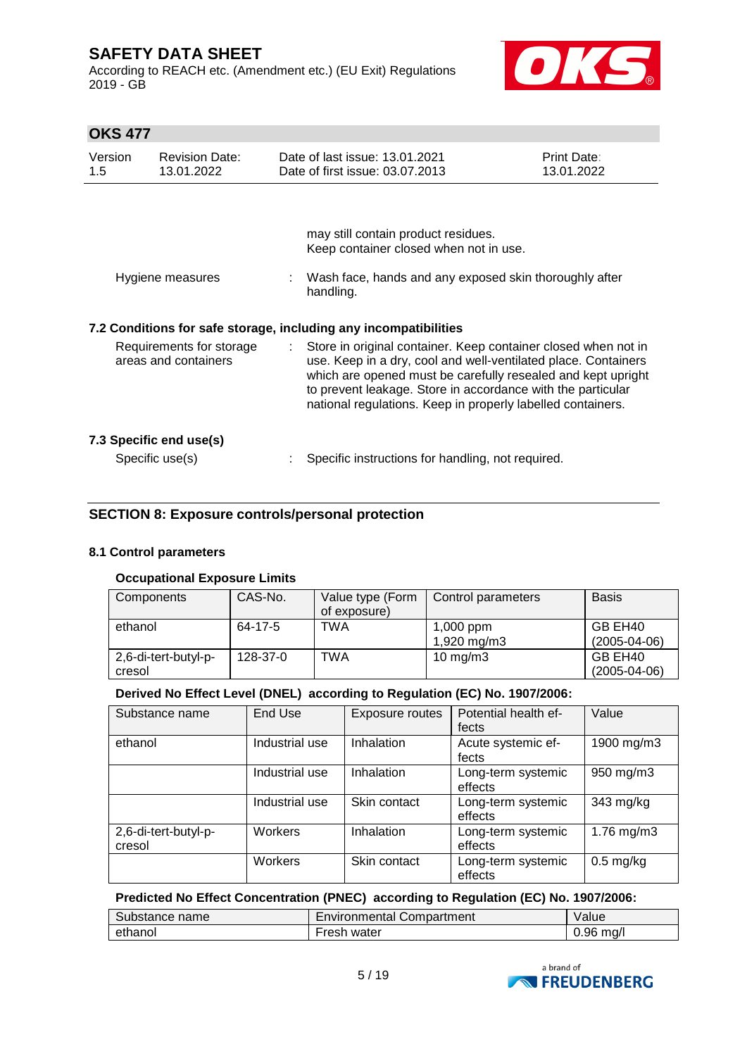According to REACH etc. (Amendment etc.) (EU Exit) Regulations 2019 - GB



## **OKS 477**

| Version<br>1.5 | <b>Revision Date:</b><br>13.01.2022              |    | Date of last issue: 13.01.2021<br>Date of first issue: 03.07.2013                                                                                                                                                                                                                                                              | Print Date:<br>13.01.2022 |
|----------------|--------------------------------------------------|----|--------------------------------------------------------------------------------------------------------------------------------------------------------------------------------------------------------------------------------------------------------------------------------------------------------------------------------|---------------------------|
|                |                                                  |    |                                                                                                                                                                                                                                                                                                                                |                           |
|                |                                                  |    | may still contain product residues.<br>Keep container closed when not in use.                                                                                                                                                                                                                                                  |                           |
|                | Hygiene measures                                 |    | : Wash face, hands and any exposed skin thoroughly after<br>handling.                                                                                                                                                                                                                                                          |                           |
|                |                                                  |    | 7.2 Conditions for safe storage, including any incompatibilities                                                                                                                                                                                                                                                               |                           |
|                | Requirements for storage<br>areas and containers | ÷. | Store in original container. Keep container closed when not in<br>use. Keep in a dry, cool and well-ventilated place. Containers<br>which are opened must be carefully resealed and kept upright<br>to prevent leakage. Store in accordance with the particular<br>national regulations. Keep in properly labelled containers. |                           |
|                | 7.3 Specific end use(s)                          |    |                                                                                                                                                                                                                                                                                                                                |                           |
|                | Specific use(s)                                  |    | Specific instructions for handling, not required.                                                                                                                                                                                                                                                                              |                           |

### **SECTION 8: Exposure controls/personal protection**

#### **8.1 Control parameters**

#### **Occupational Exposure Limits**

| Components                     | CAS-No.  | Value type (Form<br>of exposure) | Control parameters       | <b>Basis</b>                  |
|--------------------------------|----------|----------------------------------|--------------------------|-------------------------------|
| ethanol                        | 64-17-5  | TWA                              | 1,000 ppm<br>1,920 mg/m3 | GB EH40<br>$(2005 - 04 - 06)$ |
| 2,6-di-tert-butyl-p-<br>cresol | 128-37-0 | TWA                              | $10 \text{ mg/m}$        | GB EH40<br>$(2005 - 04 - 06)$ |

#### **Derived No Effect Level (DNEL) according to Regulation (EC) No. 1907/2006:**

| Substance name                 | End Use        | <b>Exposure routes</b> | Potential health ef-<br>fects | Value        |
|--------------------------------|----------------|------------------------|-------------------------------|--------------|
| ethanol                        | Industrial use | Inhalation             | Acute systemic ef-<br>fects   | 1900 mg/m3   |
|                                | Industrial use | Inhalation             | Long-term systemic<br>effects | 950 mg/m3    |
|                                | Industrial use | Skin contact           | Long-term systemic<br>effects | 343 mg/kg    |
| 2,6-di-tert-butyl-p-<br>cresol | Workers        | Inhalation             | Long-term systemic<br>effects | 1.76 $mg/m3$ |
|                                | Workers        | Skin contact           | Long-term systemic<br>effects | $0.5$ mg/kg  |

#### **Predicted No Effect Concentration (PNEC) according to Regulation (EC) No. 1907/2006:**

| Substance name | Environmental Compartment | Value        |
|----------------|---------------------------|--------------|
| ethanol        | Fresh water               | ma/l<br>0.96 |

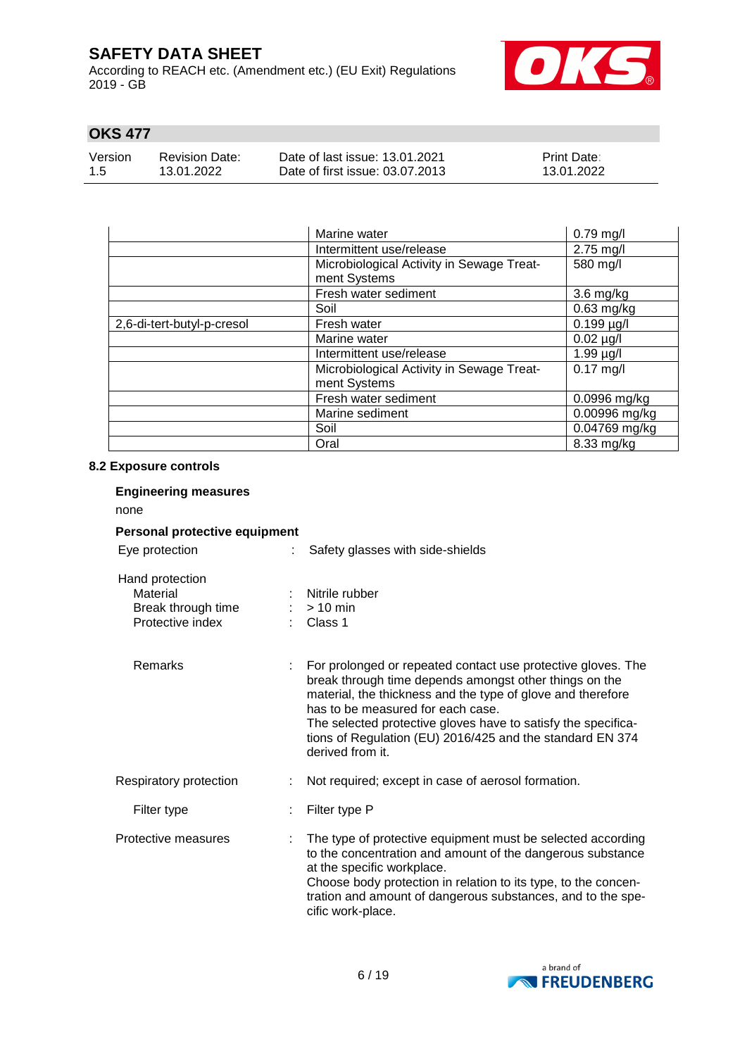According to REACH etc. (Amendment etc.) (EU Exit) Regulations 2019 - GB



# **OKS 477**

| Version | <b>Revision Date:</b> | Date of last issue: 13.01.2021  | <b>Print Date:</b> |
|---------|-----------------------|---------------------------------|--------------------|
| 1.5     | 13.01.2022            | Date of first issue: 03.07.2013 | 13.01.2022         |

|                            | Marine water                              | $0.79$ mg/l     |
|----------------------------|-------------------------------------------|-----------------|
|                            | Intermittent use/release                  | 2.75 mg/l       |
|                            | Microbiological Activity in Sewage Treat- | 580 mg/l        |
|                            | ment Systems                              |                 |
|                            | Fresh water sediment                      | $3.6$ mg/kg     |
|                            | Soil                                      | $0.63$ mg/kg    |
| 2,6-di-tert-butyl-p-cresol | Fresh water                               | $0.199 \mu g/l$ |
|                            | Marine water                              | $0.02 \mu g/l$  |
|                            | Intermittent use/release                  | $1.99 \mu g/l$  |
|                            | Microbiological Activity in Sewage Treat- | $0.17$ mg/l     |
|                            | ment Systems                              |                 |
|                            | Fresh water sediment                      | 0.0996 mg/kg    |
|                            | Marine sediment                           | 0.00996 mg/kg   |
|                            | Soil                                      | 0.04769 mg/kg   |
|                            | Oral                                      | 8.33 mg/kg      |

#### **8.2 Exposure controls**

| <b>Engineering measures</b>                                           |                                                                                                                                                                                                                                                                                                                                                                              |  |  |  |  |
|-----------------------------------------------------------------------|------------------------------------------------------------------------------------------------------------------------------------------------------------------------------------------------------------------------------------------------------------------------------------------------------------------------------------------------------------------------------|--|--|--|--|
| none                                                                  |                                                                                                                                                                                                                                                                                                                                                                              |  |  |  |  |
| Personal protective equipment                                         |                                                                                                                                                                                                                                                                                                                                                                              |  |  |  |  |
| Eye protection                                                        | Safety glasses with side-shields                                                                                                                                                                                                                                                                                                                                             |  |  |  |  |
| Hand protection<br>Material<br>Break through time<br>Protective index | Nitrile rubber<br>$:$ > 10 min<br>$\therefore$ Class 1                                                                                                                                                                                                                                                                                                                       |  |  |  |  |
| Remarks<br>÷.                                                         | For prolonged or repeated contact use protective gloves. The<br>break through time depends amongst other things on the<br>material, the thickness and the type of glove and therefore<br>has to be measured for each case.<br>The selected protective gloves have to satisfy the specifica-<br>tions of Regulation (EU) 2016/425 and the standard EN 374<br>derived from it. |  |  |  |  |
| Respiratory protection                                                | Not required; except in case of aerosol formation.                                                                                                                                                                                                                                                                                                                           |  |  |  |  |
| Filter type                                                           | Filter type P                                                                                                                                                                                                                                                                                                                                                                |  |  |  |  |
| Protective measures<br>÷.                                             | The type of protective equipment must be selected according<br>to the concentration and amount of the dangerous substance<br>at the specific workplace.<br>Choose body protection in relation to its type, to the concen-<br>tration and amount of dangerous substances, and to the spe-<br>cific work-place.                                                                |  |  |  |  |

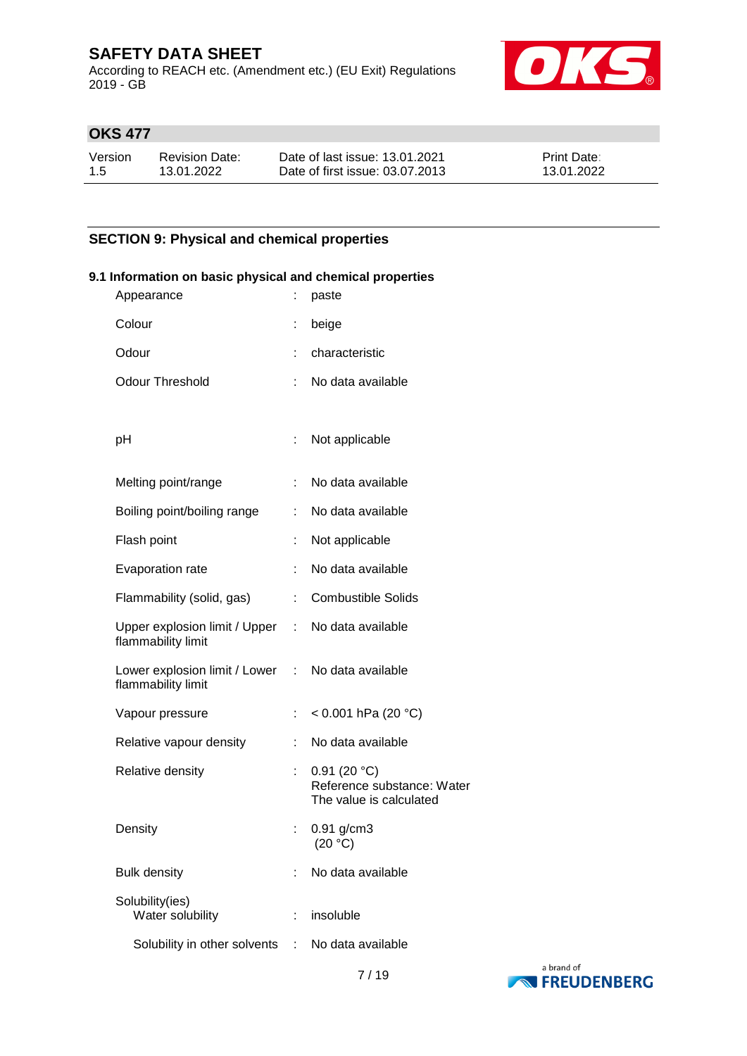According to REACH etc. (Amendment etc.) (EU Exit) Regulations 2019 - GB



# **OKS 477**

| Version | Revision Date: | Date of last issue: 13.01.2021  | <b>Print Date:</b> |
|---------|----------------|---------------------------------|--------------------|
| 1.5     | 13.01.2022     | Date of first issue: 03.07.2013 | 13.01.2022         |

### **SECTION 9: Physical and chemical properties**

| 9.1 Information on basic physical and chemical properties               |                               |                                                                      |  |
|-------------------------------------------------------------------------|-------------------------------|----------------------------------------------------------------------|--|
| Appearance                                                              |                               | paste                                                                |  |
| Colour                                                                  |                               | beige                                                                |  |
| Odour                                                                   |                               | characteristic                                                       |  |
| <b>Odour Threshold</b>                                                  | ÷.                            | No data available                                                    |  |
| pH                                                                      |                               | Not applicable                                                       |  |
| Melting point/range                                                     |                               | : No data available                                                  |  |
| Boiling point/boiling range                                             |                               | : No data available                                                  |  |
| Flash point                                                             | ÷.                            | Not applicable                                                       |  |
| Evaporation rate                                                        |                               | No data available                                                    |  |
| Flammability (solid, gas)                                               | $\mathcal{I}^{\mathcal{I}}$ . | <b>Combustible Solids</b>                                            |  |
| Upper explosion limit / Upper :<br>flammability limit                   |                               | No data available                                                    |  |
| Lower explosion limit / Lower : No data available<br>flammability limit |                               |                                                                      |  |
| Vapour pressure                                                         | $\mathcal{L}_{\mathrm{max}}$  | < 0.001 hPa (20 $^{\circ}$ C)                                        |  |
| Relative vapour density                                                 | ÷.                            | No data available                                                    |  |
| Relative density                                                        | ÷.                            | 0.91(20 °C)<br>Reference substance: Water<br>The value is calculated |  |
| Density                                                                 |                               | : $0.91$ g/cm3<br>(20 °C)                                            |  |
| <b>Bulk density</b>                                                     |                               | No data available                                                    |  |
| Solubility(ies)<br>Water solubility                                     | ÷                             | insoluble                                                            |  |
| Solubility in other solvents                                            | ÷                             | No data available                                                    |  |

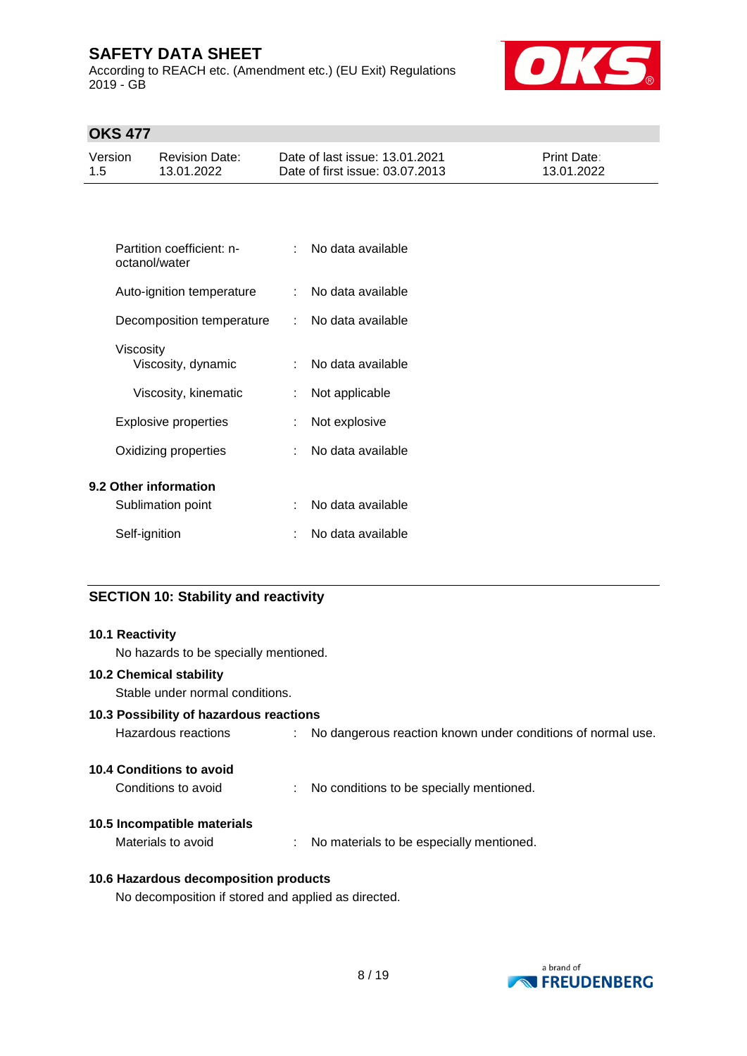According to REACH etc. (Amendment etc.) (EU Exit) Regulations 2019 - GB



# **OKS 477**

| Version | <b>Revision Date:</b> | Date of last issue: 13.01.2021  | <b>Print Date:</b> |
|---------|-----------------------|---------------------------------|--------------------|
| -1.5    | 13.01.2022            | Date of first issue: 03.07.2013 | 13.01.2022         |

| Partition coefficient: n-<br>octanol/water |                             | No data available |
|--------------------------------------------|-----------------------------|-------------------|
| Auto-ignition temperature                  | $\mathcal{F}_{\mathcal{A}}$ | No data available |
| Decomposition temperature                  | t.                          | No data available |
| Viscosity<br>Viscosity, dynamic            | t.                          | No data available |
| Viscosity, kinematic                       | t.                          | Not applicable    |
| Explosive properties                       | t.                          | Not explosive     |
| Oxidizing properties                       | $\sim$                      | No data available |
| 9.2 Other information                      |                             |                   |
| Sublimation point                          | ٠                           | No data available |
| Self-ignition                              |                             | No data available |

### **SECTION 10: Stability and reactivity**

| <b>10.1 Reactivity</b><br>No hazards to be specially mentioned.   |                                                             |
|-------------------------------------------------------------------|-------------------------------------------------------------|
| <b>10.2 Chemical stability</b><br>Stable under normal conditions. |                                                             |
| 10.3 Possibility of hazardous reactions                           |                                                             |
| Hazardous reactions                                               | No dangerous reaction known under conditions of normal use. |
| 10.4 Conditions to avoid                                          |                                                             |
| Conditions to avoid                                               | : No conditions to be specially mentioned.                  |
| 10.5 Incompatible materials                                       |                                                             |
| Materials to avoid                                                | : No materials to be especially mentioned.                  |
| 10.6 Hazardous decomposition products                             |                                                             |

No decomposition if stored and applied as directed.

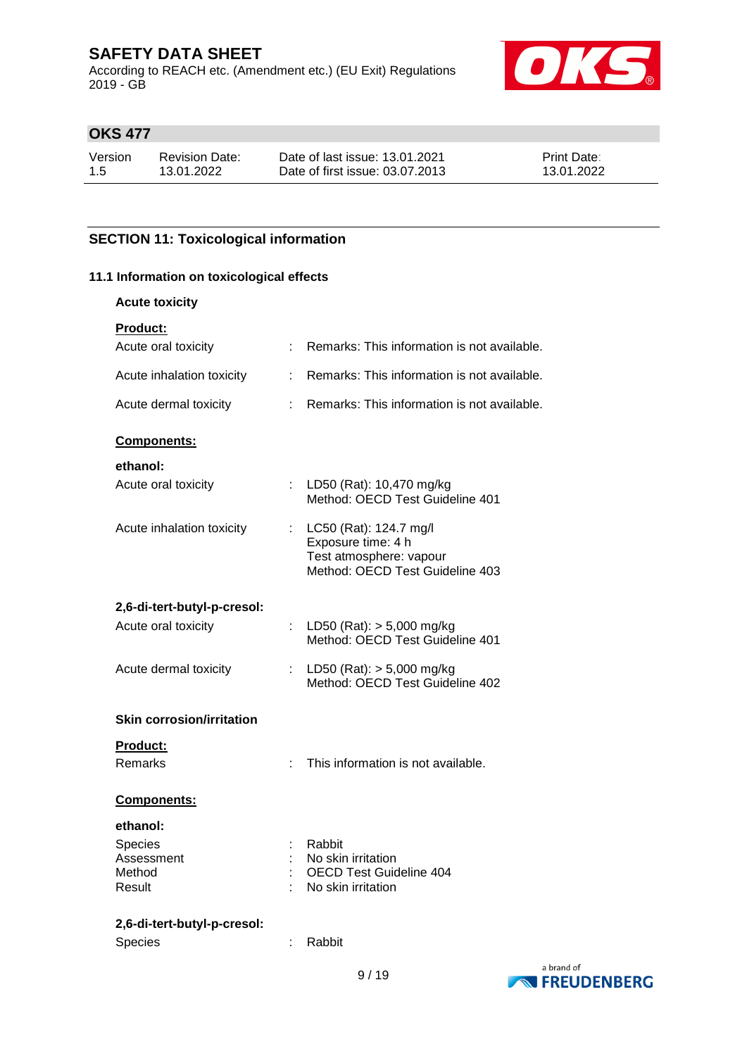According to REACH etc. (Amendment etc.) (EU Exit) Regulations 2019 - GB



# **OKS 477**

| Version | <b>Revision Date:</b> |
|---------|-----------------------|
| 1.5     | 13.01.2022            |

Date of last issue: 13.01.2021 Date of first issue: 03.07.2013 Print Date: 13.01.2022

# **SECTION 11: Toxicological information**

### **11.1 Information on toxicological effects**

| <b>Acute toxicity</b>            |   |                                                                                                              |
|----------------------------------|---|--------------------------------------------------------------------------------------------------------------|
| Product:                         |   |                                                                                                              |
| Acute oral toxicity              |   | : Remarks: This information is not available.                                                                |
| Acute inhalation toxicity        |   | : Remarks: This information is not available.                                                                |
| Acute dermal toxicity            |   | : Remarks: This information is not available.                                                                |
| Components:                      |   |                                                                                                              |
| ethanol:                         |   |                                                                                                              |
| Acute oral toxicity              |   | LD50 (Rat): 10,470 mg/kg<br>Method: OECD Test Guideline 401                                                  |
| Acute inhalation toxicity        |   | : LC50 (Rat): 124.7 mg/l<br>Exposure time: 4 h<br>Test atmosphere: vapour<br>Method: OECD Test Guideline 403 |
| 2,6-di-tert-butyl-p-cresol:      |   |                                                                                                              |
| Acute oral toxicity              |   | : LD50 (Rat): $>$ 5,000 mg/kg<br>Method: OECD Test Guideline 401                                             |
| Acute dermal toxicity            |   | : LD50 (Rat): $> 5,000$ mg/kg<br>Method: OECD Test Guideline 402                                             |
| <b>Skin corrosion/irritation</b> |   |                                                                                                              |
| <b>Product:</b>                  |   |                                                                                                              |
| Remarks                          | ÷ | This information is not available.                                                                           |
| Components:                      |   |                                                                                                              |
| ethanol:                         |   |                                                                                                              |
| Species                          |   | Rabbit                                                                                                       |
| Assessment<br>Method             |   | No skin irritation<br><b>OECD Test Guideline 404</b>                                                         |
| Result                           |   | No skin irritation                                                                                           |
| 2,6-di-tert-butyl-p-cresol:      |   |                                                                                                              |
| <b>Species</b>                   |   | Rabbit                                                                                                       |

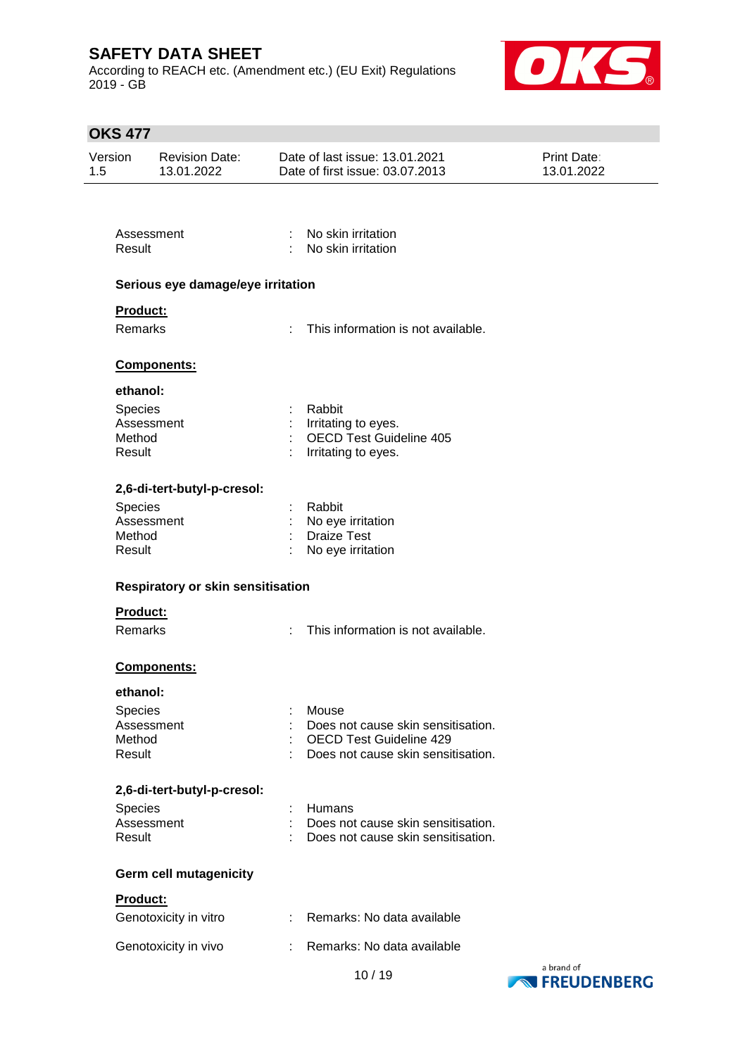According to REACH etc. (Amendment etc.) (EU Exit) Regulations 2019 - GB



# **OKS 477**

| Version | <b>Revision Date:</b> | Date of last issue: 13.01.2021  | <b>Print Date:</b> |
|---------|-----------------------|---------------------------------|--------------------|
| 1.5     | 13.01.2022            | Date of first issue: 03.07.2013 | 13.01.2022         |
|         |                       |                                 |                    |

| Assessment | No skin irritation |
|------------|--------------------|
| Result     | No skin irritation |

#### **Serious eye damage/eye irritation**

### **Product:**

Remarks : This information is not available.

#### **Components:**

#### **ethanol:**

| <b>Species</b> | : Rabbit                  |
|----------------|---------------------------|
| Assessment     | $:$ Irritating to eyes.   |
| Method         | : OECD Test Guideline 405 |
| Result         | $:$ Irritating to eyes.   |

#### **2,6-di-tert-butyl-p-cresol:**

| <b>Species</b> | : Rabbit            |
|----------------|---------------------|
| Assessment     | : No eye irritation |
| Method         | : Draize Test       |
| Result         | : No eye irritation |

#### **Respiratory or skin sensitisation**

#### **Product:**

Remarks : This information is not available.

#### **Components:**

#### **ethanol:**

| <b>Species</b> | : Mouse                              |
|----------------|--------------------------------------|
| Assessment     | : Does not cause skin sensitisation. |
| Method         | : OECD Test Guideline 429            |
| Result         | : Does not cause skin sensitisation. |

#### **2,6-di-tert-butyl-p-cresol:**

| <b>Species</b> | : Humans                             |
|----------------|--------------------------------------|
| Assessment     | : Does not cause skin sensitisation. |
| Result         | : Does not cause skin sensitisation. |

#### **Germ cell mutagenicity**

#### **Product:**

| Genotoxicity in vitro | : Remarks: No data available |
|-----------------------|------------------------------|
| Genotoxicity in vivo  | : Remarks: No data available |

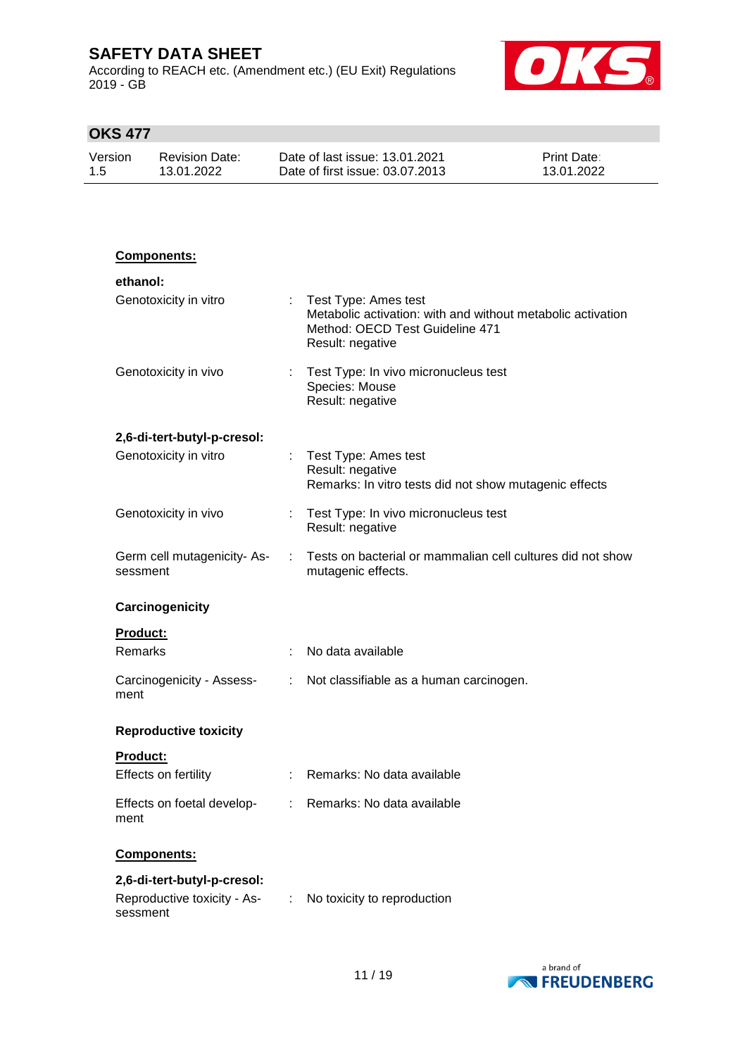According to REACH etc. (Amendment etc.) (EU Exit) Regulations 2019 - GB



### **OKS 477**

| Version | Revision Date: | Date of last issue: 13.01.2021  | <b>Print Date:</b> |
|---------|----------------|---------------------------------|--------------------|
| 1.5     | 13.01.2022     | Date of first issue: 03.07.2013 | 13.01.2022         |

# **Components: ethanol:** Genotoxicity in vitro : Test Type: Ames test Metabolic activation: with and without metabolic activation Method: OECD Test Guideline 471 Result: negative Genotoxicity in vivo : Test Type: In vivo micronucleus test Species: Mouse Result: negative **2,6-di-tert-butyl-p-cresol:** Genotoxicity in vitro : Test Type: Ames test Result: negative Remarks: In vitro tests did not show mutagenic effects Genotoxicity in vivo : Test Type: In vivo micronucleus test Result: negative Germ cell mutagenicity- Assessment : Tests on bacterial or mammalian cell cultures did not show mutagenic effects. **Carcinogenicity Product:** Remarks : No data available Carcinogenicity - Assessment : Not classifiable as a human carcinogen. **Reproductive toxicity Product:** Effects on fertility : Remarks: No data available Effects on foetal development : Remarks: No data available **Components: 2,6-di-tert-butyl-p-cresol:** Reproductive toxicity - As-: No toxicity to reproductionsessment

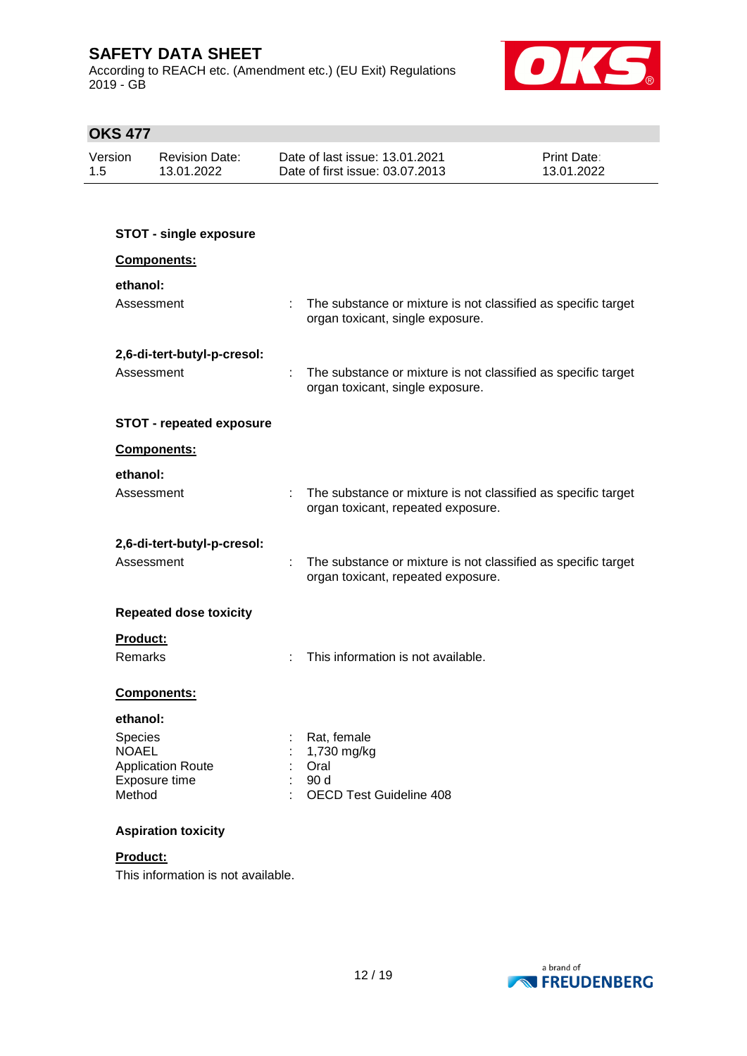According to REACH etc. (Amendment etc.) (EU Exit) Regulations 2019 - GB



# **OKS 477**

| Version<br>1.5                    | <b>Revision Date:</b><br>13.01.2022       | Date of last issue: 13.01.2021<br>Date of first issue: 03.07.2013                                   | <b>Print Date:</b><br>13.01.2022 |
|-----------------------------------|-------------------------------------------|-----------------------------------------------------------------------------------------------------|----------------------------------|
|                                   |                                           |                                                                                                     |                                  |
|                                   | <b>STOT - single exposure</b>             |                                                                                                     |                                  |
|                                   | Components:                               |                                                                                                     |                                  |
|                                   |                                           |                                                                                                     |                                  |
| ethanol:                          | Assessment                                | The substance or mixture is not classified as specific target<br>organ toxicant, single exposure.   |                                  |
|                                   | 2,6-di-tert-butyl-p-cresol:               |                                                                                                     |                                  |
|                                   | Assessment                                | The substance or mixture is not classified as specific target<br>organ toxicant, single exposure.   |                                  |
|                                   | <b>STOT - repeated exposure</b>           |                                                                                                     |                                  |
|                                   | Components:                               |                                                                                                     |                                  |
| ethanol:                          |                                           |                                                                                                     |                                  |
|                                   | Assessment                                | The substance or mixture is not classified as specific target<br>organ toxicant, repeated exposure. |                                  |
|                                   | 2,6-di-tert-butyl-p-cresol:               |                                                                                                     |                                  |
|                                   | Assessment                                | The substance or mixture is not classified as specific target<br>organ toxicant, repeated exposure. |                                  |
|                                   | <b>Repeated dose toxicity</b>             |                                                                                                     |                                  |
| <b>Product:</b>                   |                                           |                                                                                                     |                                  |
| Remarks                           |                                           | This information is not available.                                                                  |                                  |
|                                   | <b>Components:</b>                        |                                                                                                     |                                  |
| ethanol:                          |                                           |                                                                                                     |                                  |
| Species<br><b>NOAEL</b><br>Method | <b>Application Route</b><br>Exposure time | Rat, female<br>1,730 mg/kg<br>Oral<br>90 d<br><b>OECD Test Guideline 408</b>                        |                                  |
|                                   | <b>Aspiration toxicity</b>                |                                                                                                     |                                  |

### **Product:**

This information is not available.

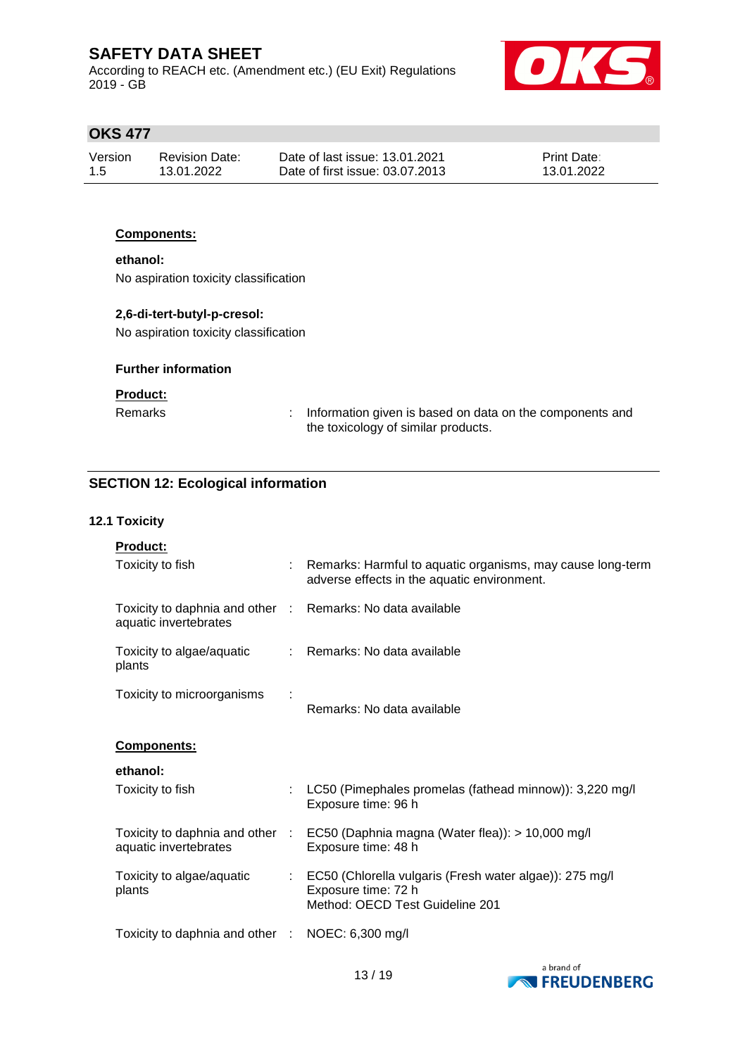According to REACH etc. (Amendment etc.) (EU Exit) Regulations 2019 - GB



### **OKS 477**

| Version | Revision Date: | Date of last issue: 13.01.2021  | <b>Print Date:</b> |
|---------|----------------|---------------------------------|--------------------|
| 1.5     | 13.01.2022     | Date of first issue: 03.07.2013 | 13.01.2022         |

#### **Components:**

**ethanol:** No aspiration toxicity classification

#### **2,6-di-tert-butyl-p-cresol:**

No aspiration toxicity classification

#### **Further information**

#### **Product:**

Remarks : Information given is based on data on the components and the toxicology of similar products.

### **SECTION 12: Ecological information**

#### **12.1 Toxicity**

| Product:                                                                            |                                                                                                                     |
|-------------------------------------------------------------------------------------|---------------------------------------------------------------------------------------------------------------------|
| Toxicity to fish                                                                    | Remarks: Harmful to aquatic organisms, may cause long-term<br>adverse effects in the aquatic environment.           |
| Toxicity to daphnia and other : Remarks: No data available<br>aquatic invertebrates |                                                                                                                     |
| Toxicity to algae/aquatic<br>plants                                                 | : Remarks: No data available                                                                                        |
| Toxicity to microorganisms                                                          | Remarks: No data available                                                                                          |
| Components:                                                                         |                                                                                                                     |
| ethanol:                                                                            |                                                                                                                     |
| Toxicity to fish                                                                    | : LC50 (Pimephales promelas (fathead minnow)): 3,220 mg/l<br>Exposure time: 96 h                                    |
| aquatic invertebrates                                                               | Toxicity to daphnia and other : EC50 (Daphnia magna (Water flea)): > 10,000 mg/l<br>Exposure time: 48 h             |
| Toxicity to algae/aquatic<br>plants                                                 | : EC50 (Chlorella vulgaris (Fresh water algae)): 275 mg/l<br>Exposure time: 72 h<br>Method: OECD Test Guideline 201 |
| Toxicity to daphnia and other : NOEC: 6,300 mg/l                                    |                                                                                                                     |

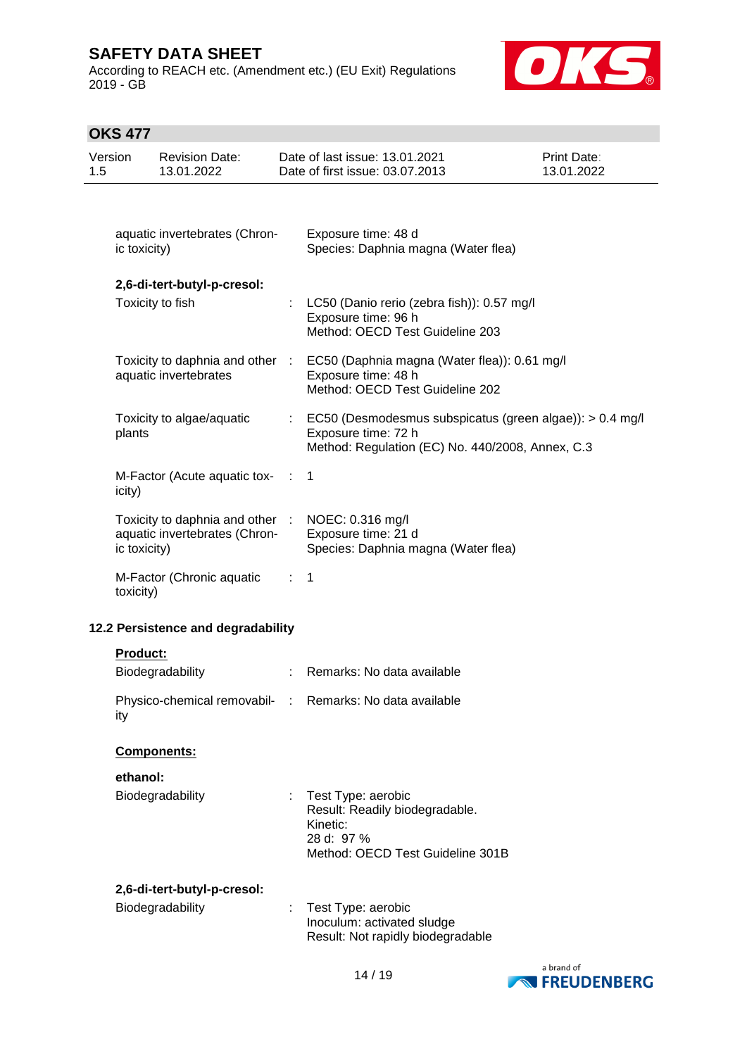According to REACH etc. (Amendment etc.) (EU Exit) Regulations 2019 - GB



# **OKS 477**

| Version<br>1.5 |                 | <b>Revision Date:</b><br>13.01.2022                                               |                               | Date of last issue: 13.01.2021<br>Date of first issue: 03.07.2013                                                                     | <b>Print Date:</b><br>13.01.2022 |
|----------------|-----------------|-----------------------------------------------------------------------------------|-------------------------------|---------------------------------------------------------------------------------------------------------------------------------------|----------------------------------|
|                |                 |                                                                                   |                               |                                                                                                                                       |                                  |
|                | ic toxicity)    | aquatic invertebrates (Chron-                                                     |                               | Exposure time: 48 d<br>Species: Daphnia magna (Water flea)                                                                            |                                  |
|                |                 | 2,6-di-tert-butyl-p-cresol:                                                       |                               |                                                                                                                                       |                                  |
|                |                 | Toxicity to fish                                                                  |                               | LC50 (Danio rerio (zebra fish)): 0.57 mg/l<br>Exposure time: 96 h<br>Method: OECD Test Guideline 203                                  |                                  |
|                |                 | Toxicity to daphnia and other :<br>aquatic invertebrates                          |                               | EC50 (Daphnia magna (Water flea)): 0.61 mg/l<br>Exposure time: 48 h<br>Method: OECD Test Guideline 202                                |                                  |
|                | plants          | Toxicity to algae/aquatic                                                         |                               | : EC50 (Desmodesmus subspicatus (green algae)): > 0.4 mg/l<br>Exposure time: 72 h<br>Method: Regulation (EC) No. 440/2008, Annex, C.3 |                                  |
|                | icity)          | M-Factor (Acute aquatic tox-                                                      | $\sim 10$                     | $\mathbf 1$                                                                                                                           |                                  |
|                | ic toxicity)    | Toxicity to daphnia and other : NOEC: 0.316 mg/l<br>aquatic invertebrates (Chron- |                               | Exposure time: 21 d<br>Species: Daphnia magna (Water flea)                                                                            |                                  |
|                | toxicity)       | M-Factor (Chronic aquatic                                                         | $\mathcal{I}^{\mathcal{I}}$ . | $\mathbf{1}$                                                                                                                          |                                  |
|                |                 | 12.2 Persistence and degradability                                                |                               |                                                                                                                                       |                                  |
|                | <b>Product:</b> |                                                                                   |                               |                                                                                                                                       |                                  |
|                |                 | Biodegradability                                                                  | ÷                             | Remarks: No data available                                                                                                            |                                  |
|                | ity             | Physico-chemical removabil-                                                       |                               | Remarks: No data available                                                                                                            |                                  |
|                |                 | <b>Components:</b>                                                                |                               |                                                                                                                                       |                                  |
|                | ethanol:        |                                                                                   |                               |                                                                                                                                       |                                  |
|                |                 | Biodegradability                                                                  |                               | Test Type: aerobic<br>Result: Readily biodegradable.<br>Kinetic:<br>28 d: 97 %<br>Method: OECD Test Guideline 301B                    |                                  |
|                |                 | 2,6-di-tert-butyl-p-cresol:<br>Biodegradability                                   |                               | Test Type: aerobic<br>Inoculum: activated sludge<br>Result: Not rapidly biodegradable                                                 |                                  |

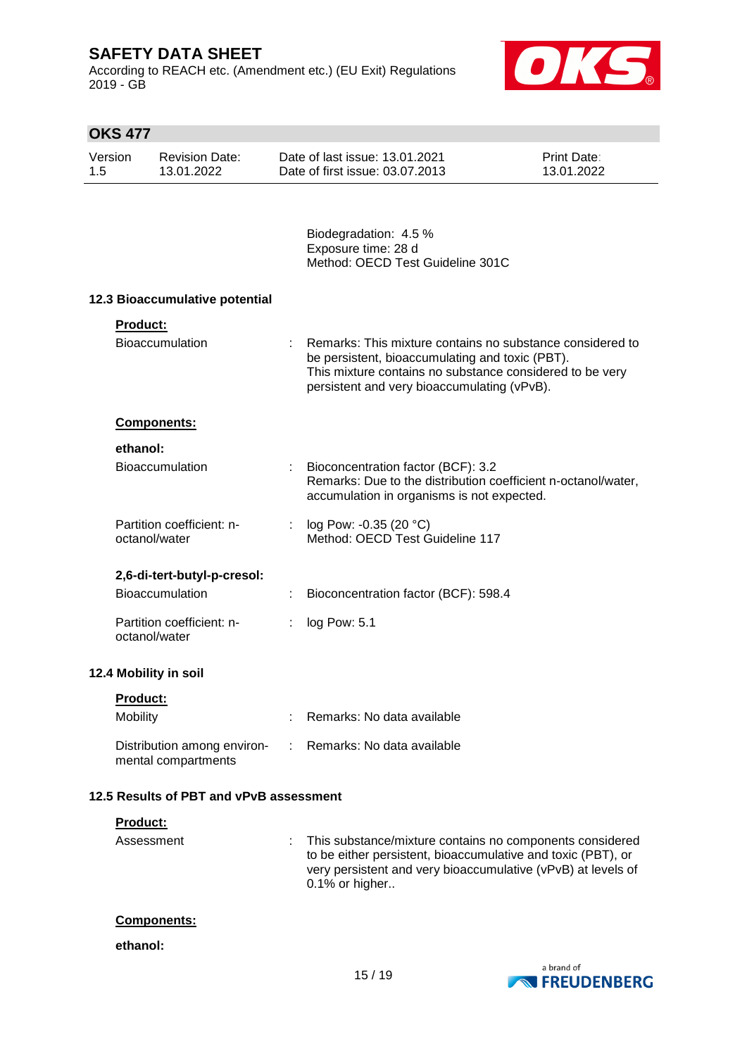According to REACH etc. (Amendment etc.) (EU Exit) Regulations 2019 - GB



# **OKS 477**

| Version | <b>Revision Date:</b> | Date of last issue: 13.01.2021  | <b>Print Date:</b> |
|---------|-----------------------|---------------------------------|--------------------|
| -1.5    | 13.01.2022            | Date of first issue: 03.07.2013 | 13.01.2022         |

Biodegradation: 4.5 % Exposure time: 28 d Method: OECD Test Guideline 301C

#### **12.3 Bioaccumulative potential**

| <b>Product:</b>                                    |                                                                                                                                                                                                                         |                                                                                                                                                   |
|----------------------------------------------------|-------------------------------------------------------------------------------------------------------------------------------------------------------------------------------------------------------------------------|---------------------------------------------------------------------------------------------------------------------------------------------------|
| <b>Bioaccumulation</b>                             | Remarks: This mixture contains no substance considered to<br>be persistent, bioaccumulating and toxic (PBT).<br>This mixture contains no substance considered to be very<br>persistent and very bioaccumulating (vPvB). |                                                                                                                                                   |
| <b>Components:</b>                                 |                                                                                                                                                                                                                         |                                                                                                                                                   |
| ethanol:                                           |                                                                                                                                                                                                                         |                                                                                                                                                   |
| <b>Bioaccumulation</b>                             |                                                                                                                                                                                                                         | Bioconcentration factor (BCF): 3.2<br>Remarks: Due to the distribution coefficient n-octanol/water,<br>accumulation in organisms is not expected. |
| Partition coefficient: n-<br>octanol/water         | $\mathbb{R}^n$                                                                                                                                                                                                          | log Pow: -0.35 (20 $^{\circ}$ C)<br>Method: OECD Test Guideline 117                                                                               |
| 2,6-di-tert-butyl-p-cresol:                        |                                                                                                                                                                                                                         |                                                                                                                                                   |
| <b>Bioaccumulation</b>                             |                                                                                                                                                                                                                         | Bioconcentration factor (BCF): 598.4                                                                                                              |
| Partition coefficient: n-<br>octanol/water         |                                                                                                                                                                                                                         | log Pow: 5.1                                                                                                                                      |
| 12.4 Mobility in soil                              |                                                                                                                                                                                                                         |                                                                                                                                                   |
| <b>Product:</b>                                    |                                                                                                                                                                                                                         |                                                                                                                                                   |
| <b>Mobility</b>                                    |                                                                                                                                                                                                                         | Remarks: No data available                                                                                                                        |
| Distribution among environ-<br>mental compartments |                                                                                                                                                                                                                         | Remarks: No data available                                                                                                                        |

#### **12.5 Results of PBT and vPvB assessment**

| <b>Product:</b> |                                                                                                                                                                                                                 |
|-----------------|-----------------------------------------------------------------------------------------------------------------------------------------------------------------------------------------------------------------|
| Assessment      | : This substance/mixture contains no components considered<br>to be either persistent, bioaccumulative and toxic (PBT), or<br>very persistent and very bioaccumulative (vPvB) at levels of<br>$0.1\%$ or higher |

#### **Components:**

#### **ethanol:**

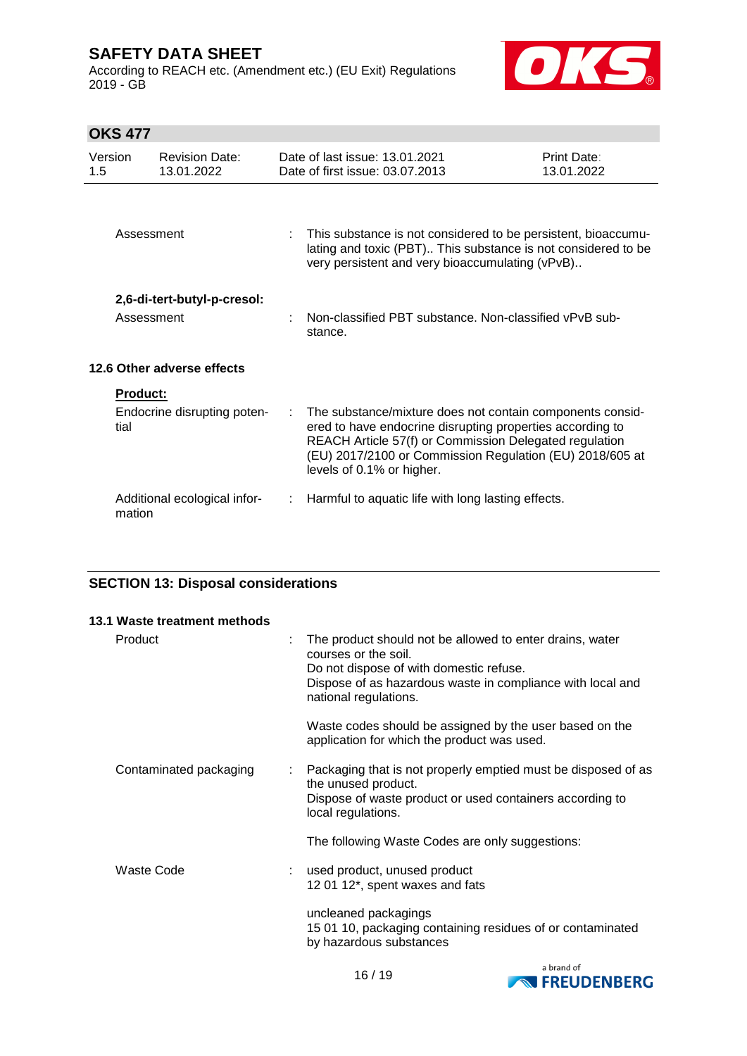According to REACH etc. (Amendment etc.) (EU Exit) Regulations 2019 - GB



# **OKS 477**

| Version<br>1.5                            |                         | <b>Revision Date:</b><br>13.01.2022 |                                                                   | Date of last issue: 13.01.2021<br>Date of first issue: 03.07.2013                                                                                                                                                                                                         | Print Date:<br>13.01.2022 |
|-------------------------------------------|-------------------------|-------------------------------------|-------------------------------------------------------------------|---------------------------------------------------------------------------------------------------------------------------------------------------------------------------------------------------------------------------------------------------------------------------|---------------------------|
|                                           | Assessment              |                                     |                                                                   | : This substance is not considered to be persistent, bioaccumu-<br>lating and toxic (PBT) This substance is not considered to be<br>very persistent and very bioaccumulating (vPvB)                                                                                       |                           |
| 2,6-di-tert-butyl-p-cresol:<br>Assessment |                         |                                     | Non-classified PBT substance. Non-classified vPvB sub-<br>stance. |                                                                                                                                                                                                                                                                           |                           |
|                                           |                         | 12.6 Other adverse effects          |                                                                   |                                                                                                                                                                                                                                                                           |                           |
|                                           | <b>Product:</b><br>tial | Endocrine disrupting poten-         | ÷.                                                                | The substance/mixture does not contain components consid-<br>ered to have endocrine disrupting properties according to<br>REACH Article 57(f) or Commission Delegated regulation<br>(EU) 2017/2100 or Commission Regulation (EU) 2018/605 at<br>levels of 0.1% or higher. |                           |
|                                           | mation                  | Additional ecological infor-        |                                                                   | Harmful to aquatic life with long lasting effects.                                                                                                                                                                                                                        |                           |

### **SECTION 13: Disposal considerations**

| 13.1 Waste treatment methods |                                                                                                                                                                                                                    |
|------------------------------|--------------------------------------------------------------------------------------------------------------------------------------------------------------------------------------------------------------------|
| Product<br>÷.                | The product should not be allowed to enter drains, water<br>courses or the soil.<br>Do not dispose of with domestic refuse.<br>Dispose of as hazardous waste in compliance with local and<br>national regulations. |
|                              | Waste codes should be assigned by the user based on the<br>application for which the product was used.                                                                                                             |
| Contaminated packaging       | : Packaging that is not properly emptied must be disposed of as<br>the unused product.<br>Dispose of waste product or used containers according to<br>local regulations.                                           |
|                              | The following Waste Codes are only suggestions:                                                                                                                                                                    |
| Waste Code<br>÷.             | used product, unused product<br>12 01 12*, spent waxes and fats                                                                                                                                                    |
|                              | uncleaned packagings<br>15 01 10, packaging containing residues of or contaminated<br>by hazardous substances                                                                                                      |

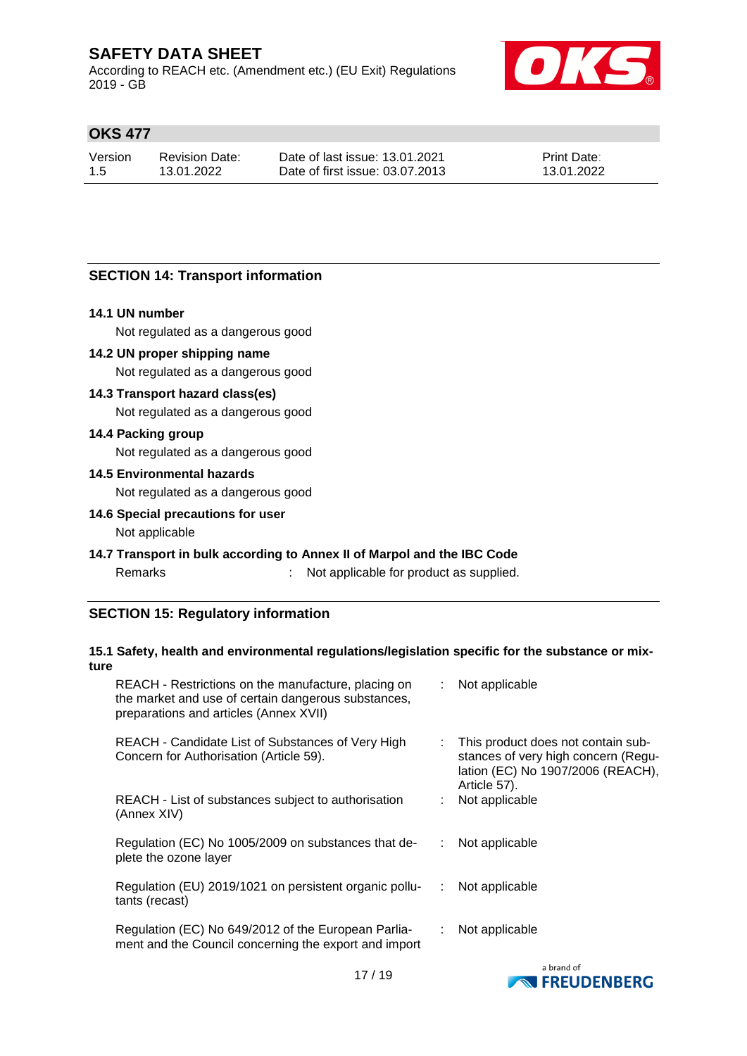According to REACH etc. (Amendment etc.) (EU Exit) Regulations 2019 - GB



## **OKS 477**

| Version | <b>Revision Date:</b> | Date of last issue: 13.01.2021  | <b>Print Date:</b> |
|---------|-----------------------|---------------------------------|--------------------|
| 1.5     | 13.01.2022            | Date of first issue: 03.07.2013 | 13.01.2022         |

### **SECTION 14: Transport information**

#### **14.1 UN number**

Not regulated as a dangerous good

#### **14.2 UN proper shipping name**

Not regulated as a dangerous good

#### **14.3 Transport hazard class(es)**

Not regulated as a dangerous good

#### **14.4 Packing group**

Not regulated as a dangerous good

#### **14.5 Environmental hazards**

Not regulated as a dangerous good

#### **14.6 Special precautions for user**

Not applicable

**14.7 Transport in bulk according to Annex II of Marpol and the IBC Code**

Remarks : Not applicable for product as supplied.

#### **SECTION 15: Regulatory information**

| ture | 15.1 Safety, health and environmental regulations/legislation specific for the substance or mix-                                                     |    |                                                                                                                                |
|------|------------------------------------------------------------------------------------------------------------------------------------------------------|----|--------------------------------------------------------------------------------------------------------------------------------|
|      | REACH - Restrictions on the manufacture, placing on<br>the market and use of certain dangerous substances,<br>preparations and articles (Annex XVII) | ÷. | Not applicable                                                                                                                 |
|      | REACH - Candidate List of Substances of Very High<br>Concern for Authorisation (Article 59).                                                         |    | This product does not contain sub-<br>stances of very high concern (Regu-<br>lation (EC) No 1907/2006 (REACH),<br>Article 57). |
|      | REACH - List of substances subject to authorisation<br>(Annex XIV)                                                                                   |    | Not applicable                                                                                                                 |
|      | Regulation (EC) No 1005/2009 on substances that de-<br>plete the ozone layer                                                                         |    | Not applicable                                                                                                                 |
|      | Regulation (EU) 2019/1021 on persistent organic pollu-<br>tants (recast)                                                                             | ÷. | Not applicable                                                                                                                 |
|      | Regulation (EC) No 649/2012 of the European Parlia-<br>ment and the Council concerning the export and import                                         |    | Not applicable                                                                                                                 |

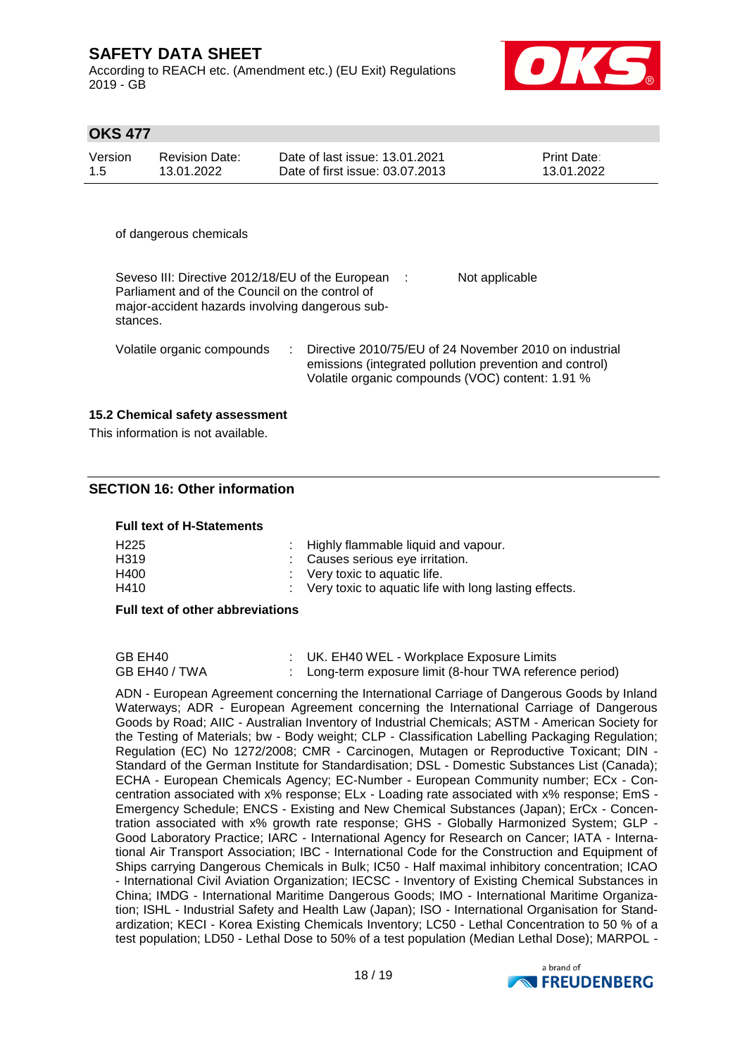According to REACH etc. (Amendment etc.) (EU Exit) Regulations 2019 - GB



### **OKS 477**

| Version | <b>Revision Date:</b> | Date of last issue: 13.01.2021  | <b>Print Date:</b> |
|---------|-----------------------|---------------------------------|--------------------|
| 1.5     | 13.01.2022            | Date of first issue: 03.07.2013 | 13.01.2022         |

of dangerous chemicals

| Seveso III: Directive 2012/18/EU of the European<br>Parliament and of the Council on the control of<br>major-accident hazards involving dangerous sub-<br>stances. |  | Not applicable                                                                                                                                                        |
|--------------------------------------------------------------------------------------------------------------------------------------------------------------------|--|-----------------------------------------------------------------------------------------------------------------------------------------------------------------------|
| Volatile organic compounds                                                                                                                                         |  | Directive 2010/75/EU of 24 November 2010 on industrial<br>emissions (integrated pollution prevention and control)<br>Volatile organic compounds (VOC) content: 1.91 % |

#### **15.2 Chemical safety assessment**

This information is not available.

### **SECTION 16: Other information**

#### **Full text of H-Statements**

| H <sub>225</sub>  | : Highly flammable liquid and vapour.                   |
|-------------------|---------------------------------------------------------|
| H <sub>3</sub> 19 | : Causes serious eye irritation.                        |
| H400              | $\therefore$ Very toxic to aquatic life.                |
| H410              | : Very toxic to aquatic life with long lasting effects. |

#### **Full text of other abbreviations**

| GB EH40       | : UK. EH40 WEL - Workplace Exposure Limits               |
|---------------|----------------------------------------------------------|
| GB EH40 / TWA | : Long-term exposure limit (8-hour TWA reference period) |

ADN - European Agreement concerning the International Carriage of Dangerous Goods by Inland Waterways; ADR - European Agreement concerning the International Carriage of Dangerous Goods by Road; AIIC - Australian Inventory of Industrial Chemicals; ASTM - American Society for the Testing of Materials; bw - Body weight; CLP - Classification Labelling Packaging Regulation; Regulation (EC) No 1272/2008; CMR - Carcinogen, Mutagen or Reproductive Toxicant; DIN - Standard of the German Institute for Standardisation; DSL - Domestic Substances List (Canada); ECHA - European Chemicals Agency; EC-Number - European Community number; ECx - Concentration associated with x% response; ELx - Loading rate associated with x% response; EmS - Emergency Schedule; ENCS - Existing and New Chemical Substances (Japan); ErCx - Concentration associated with x% growth rate response; GHS - Globally Harmonized System; GLP - Good Laboratory Practice; IARC - International Agency for Research on Cancer; IATA - International Air Transport Association; IBC - International Code for the Construction and Equipment of Ships carrying Dangerous Chemicals in Bulk; IC50 - Half maximal inhibitory concentration; ICAO - International Civil Aviation Organization; IECSC - Inventory of Existing Chemical Substances in China; IMDG - International Maritime Dangerous Goods; IMO - International Maritime Organization; ISHL - Industrial Safety and Health Law (Japan); ISO - International Organisation for Standardization; KECI - Korea Existing Chemicals Inventory; LC50 - Lethal Concentration to 50 % of a test population; LD50 - Lethal Dose to 50% of a test population (Median Lethal Dose); MARPOL -